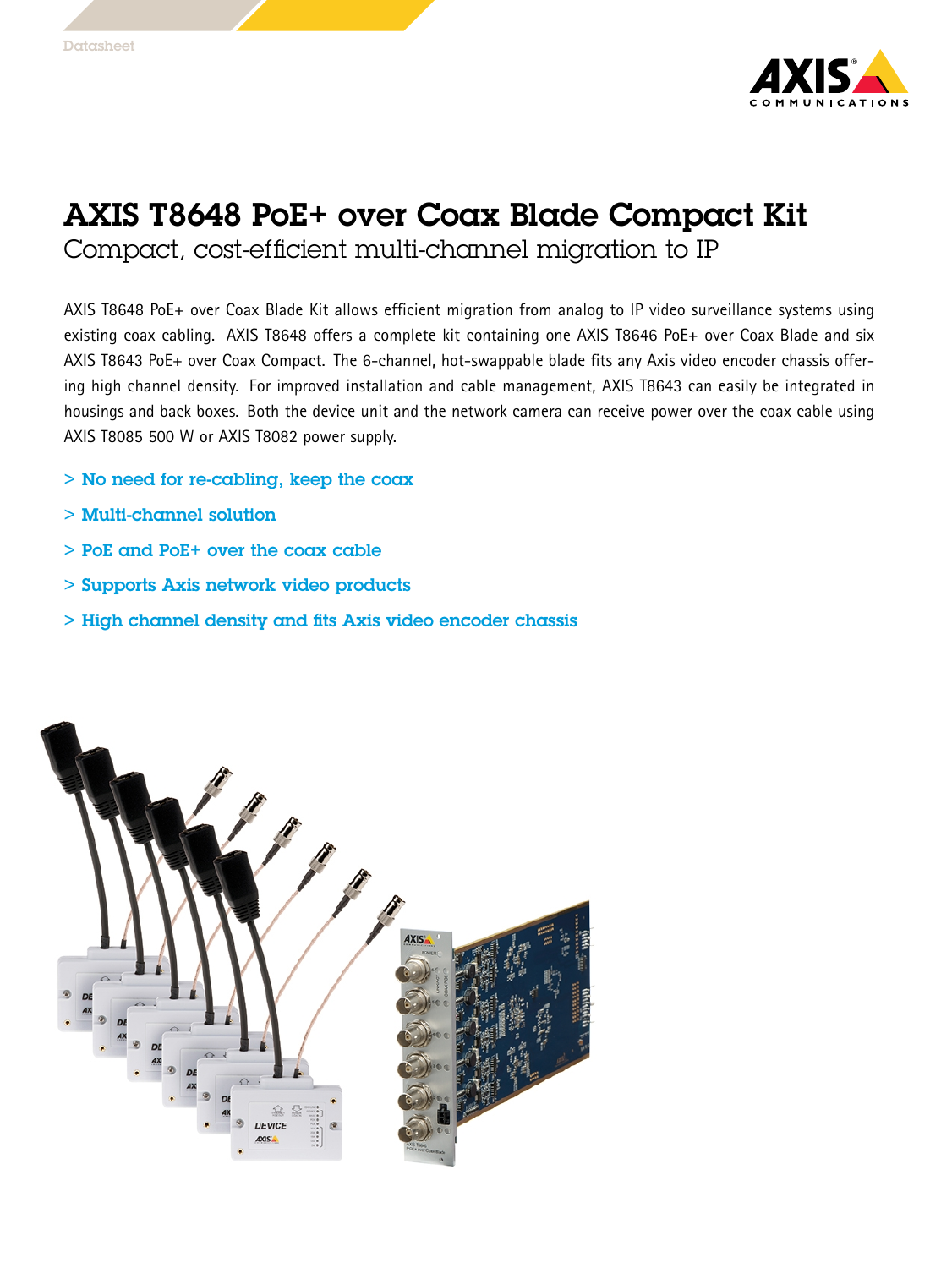

## AXIS T8648 PoE+ over Coax Blade Compact Kit

Compact, cost-efficient multi-channel migration to IP

AXIS T8648 PoE+ over Coax Blade Kit allows efficient migration from analog to IP video surveillance systems using existing coax cabling. AXIS T8648 offers <sup>a</sup> complete kit containing one AXIS T8646 PoE+ over Coax Blade and six AXIS T8643 PoE+ over Coax Compact. The 6-channel, hot-swappable blade fits any Axis video encoder chassis offering high channel density. For improved installation and cable management, AXIS T8643 can easily be integrated in housings and back boxes. Both the device unit and the network camera can receive power over the coax cable using AXIS T8085 500 W or AXIS T8082 power supply.

- > No need for re-cabling, keep the coax
- > Multi-channel solution
- > PoE and PoE+ over the coax cable
- > Supports Axis network video products
- > High channel density and fits Axis video encoder chassis